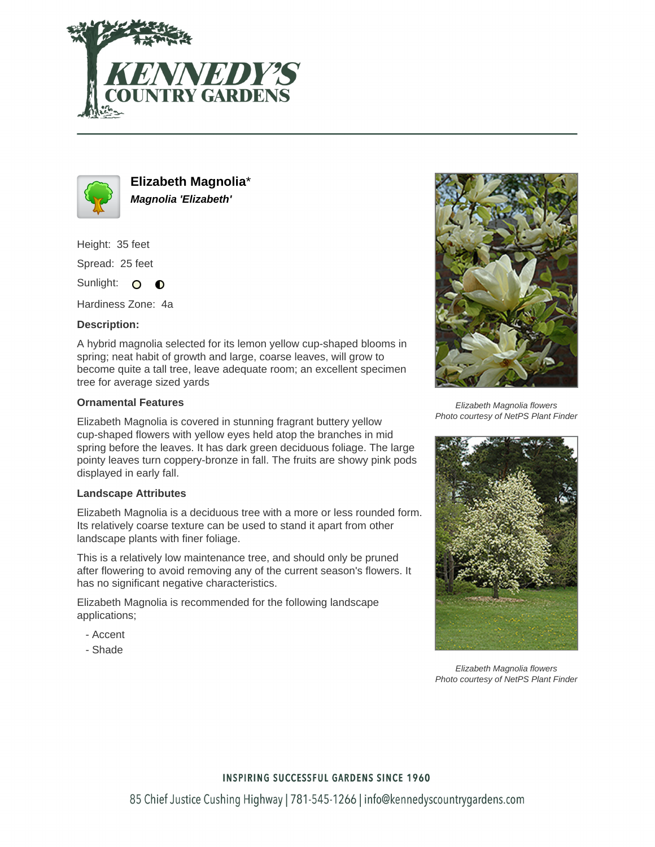



**Elizabeth Magnolia**\* **Magnolia 'Elizabeth'**

Height: 35 feet

Spread: 25 feet

Sunlight: O  $\bullet$ 

Hardiness Zone: 4a

# **Description:**

A hybrid magnolia selected for its lemon yellow cup-shaped blooms in spring; neat habit of growth and large, coarse leaves, will grow to become quite a tall tree, leave adequate room; an excellent specimen tree for average sized yards

### **Ornamental Features**

Elizabeth Magnolia is covered in stunning fragrant buttery yellow cup-shaped flowers with yellow eyes held atop the branches in mid spring before the leaves. It has dark green deciduous foliage. The large pointy leaves turn coppery-bronze in fall. The fruits are showy pink pods displayed in early fall.

#### **Landscape Attributes**

Elizabeth Magnolia is a deciduous tree with a more or less rounded form. Its relatively coarse texture can be used to stand it apart from other landscape plants with finer foliage.

This is a relatively low maintenance tree, and should only be pruned after flowering to avoid removing any of the current season's flowers. It has no significant negative characteristics.

Elizabeth Magnolia is recommended for the following landscape applications;

- Accent
- Shade



Elizabeth Magnolia flowers Photo courtesy of NetPS Plant Finder



Elizabeth Magnolia flowers Photo courtesy of NetPS Plant Finder

# **INSPIRING SUCCESSFUL GARDENS SINCE 1960**